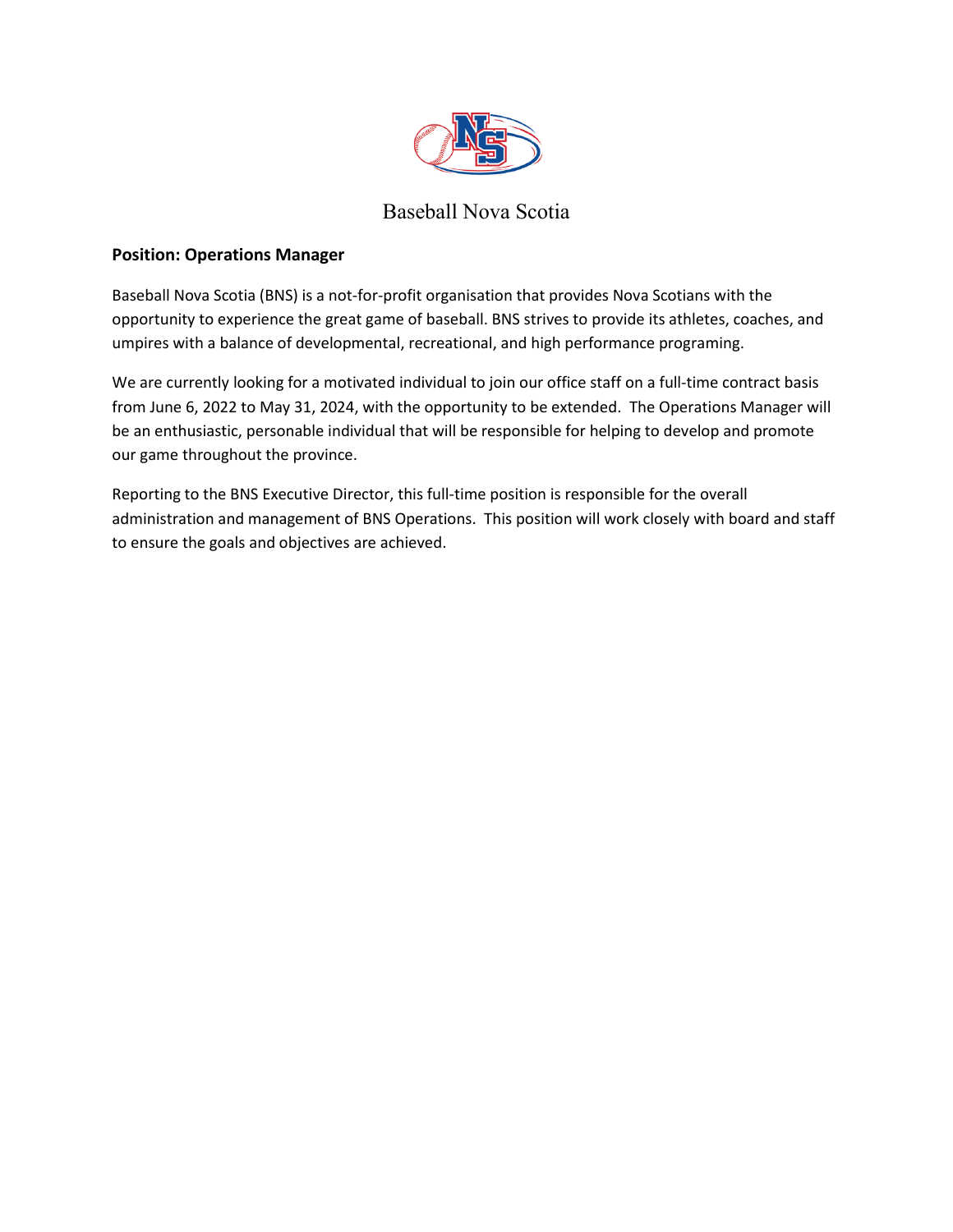

# Baseball Nova Scotia

## **Position: Operations Manager**

Baseball Nova Scotia (BNS) is a not-for-profit organisation that provides Nova Scotians with the opportunity to experience the great game of baseball. BNS strives to provide its athletes, coaches, and umpires with a balance of developmental, recreational, and high performance programing.

We are currently looking for a motivated individual to join our office staff on a full-time contract basis from June 6, 2022 to May 31, 2024, with the opportunity to be extended. The Operations Manager will be an enthusiastic, personable individual that will be responsible for helping to develop and promote our game throughout the province.

Reporting to the BNS Executive Director, this full-time position is responsible for the overall administration and management of BNS Operations. This position will work closely with board and staff to ensure the goals and objectives are achieved.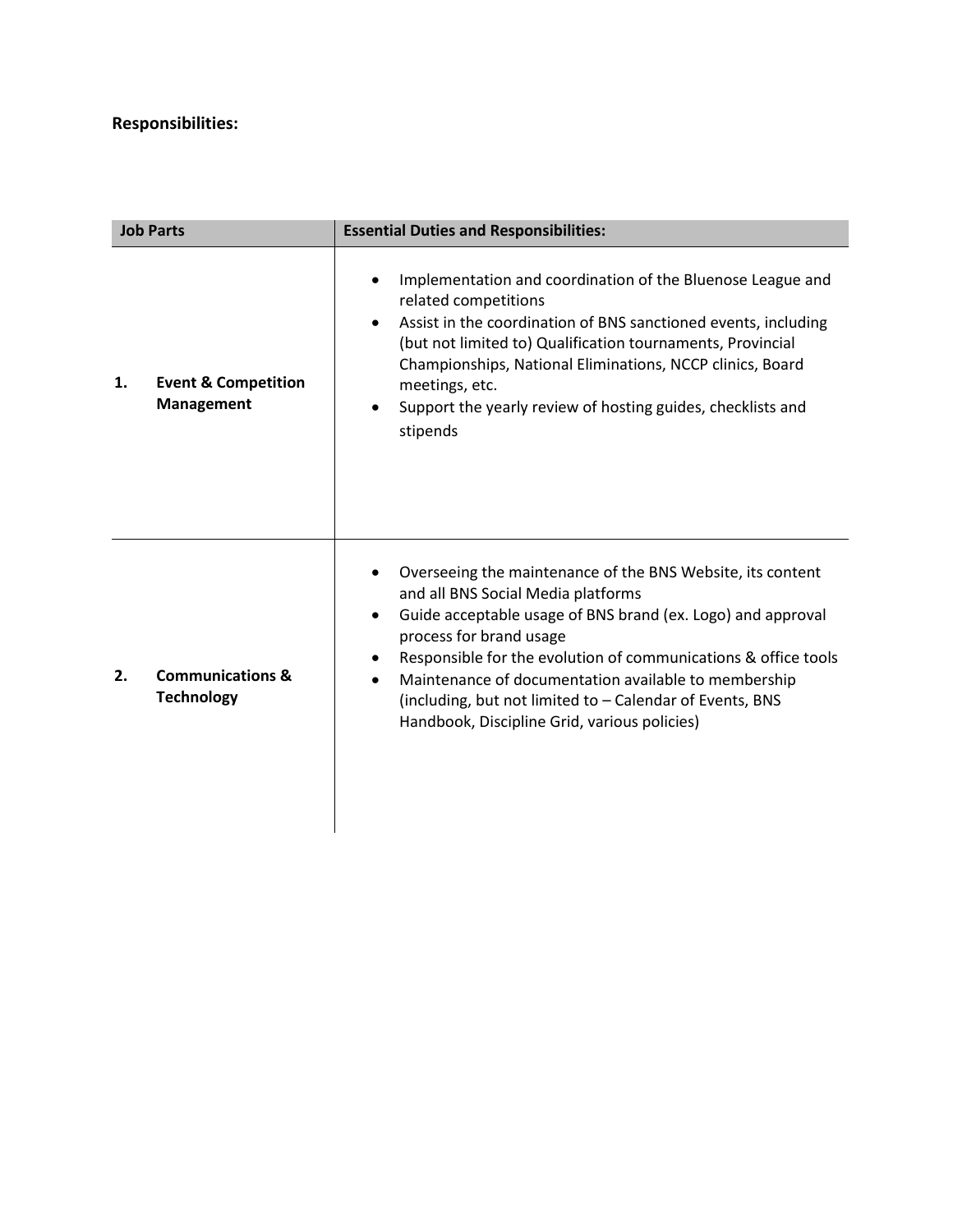## **Responsibilities:**

| <b>Job Parts</b> |                                                     | <b>Essential Duties and Responsibilities:</b>                                                                                                                                                                                                                                                                                                                                                                                                 |
|------------------|-----------------------------------------------------|-----------------------------------------------------------------------------------------------------------------------------------------------------------------------------------------------------------------------------------------------------------------------------------------------------------------------------------------------------------------------------------------------------------------------------------------------|
| 1.               | <b>Event &amp; Competition</b><br><b>Management</b> | Implementation and coordination of the Bluenose League and<br>$\bullet$<br>related competitions<br>Assist in the coordination of BNS sanctioned events, including<br>$\bullet$<br>(but not limited to) Qualification tournaments, Provincial<br>Championships, National Eliminations, NCCP clinics, Board<br>meetings, etc.<br>Support the yearly review of hosting guides, checklists and<br>$\bullet$<br>stipends                           |
| 2.               | <b>Communications &amp;</b><br><b>Technology</b>    | Overseeing the maintenance of the BNS Website, its content<br>and all BNS Social Media platforms<br>Guide acceptable usage of BNS brand (ex. Logo) and approval<br>$\bullet$<br>process for brand usage<br>Responsible for the evolution of communications & office tools<br>Maintenance of documentation available to membership<br>(including, but not limited to - Calendar of Events, BNS<br>Handbook, Discipline Grid, various policies) |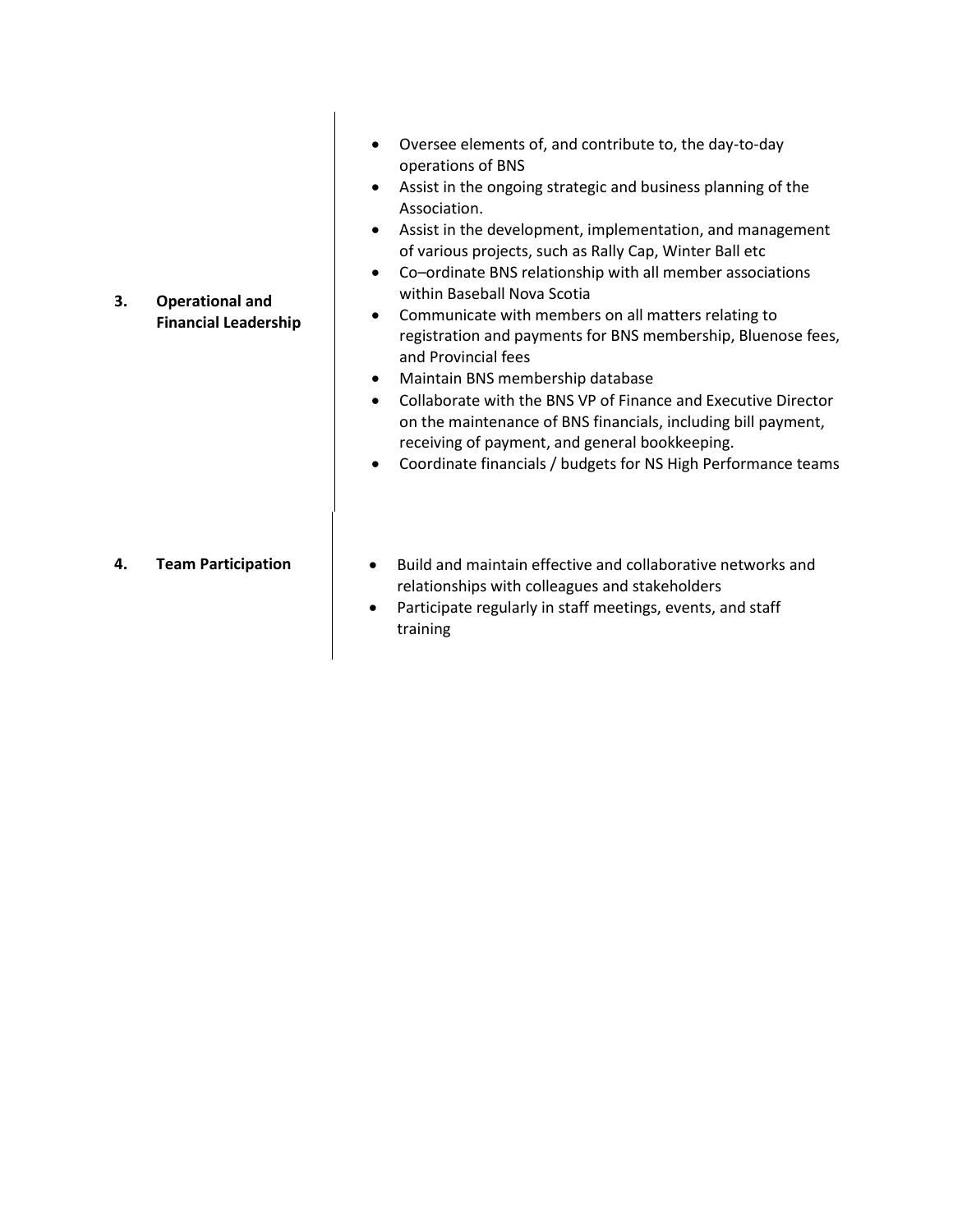**3. Operational and Financial Leadership**

- Oversee elements of, and contribute to, the day-to-day operations of BNS
- Assist in the ongoing strategic and business planning of the Association.
- Assist in the development, implementation, and management of various projects, such as Rally Cap, Winter Ball etc
- Co–ordinate BNS relationship with all member associations within Baseball Nova Scotia
- Communicate with members on all matters relating to registration and payments for BNS membership, Bluenose fees, and Provincial fees
- Maintain BNS membership database
- Collaborate with the BNS VP of Finance and Executive Director on the maintenance of BNS financials, including bill payment, receiving of payment, and general bookkeeping.
- Coordinate financials / budgets for NS High Performance teams

- **4. Team Participation**  $\parallel$  **•** Build and maintain effective and collaborative networks and relationships with colleagues and stakeholders
	- Participate regularly in staff meetings, events, and staff training